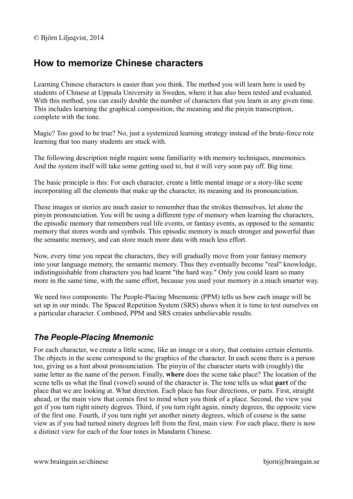# **How to memorize Chinese characters**

Learning Chinese characters is easier than you think. The method you will learn here is used by students of Chinese at Uppsala University in Sweden, where it has also been tested and evaluated. With this method, you can easily double the number of characters that you learn in any given time. This includes learning the graphical composition, the meaning and the pinyin transcription, complete with the tone.

Magic? Too good to be true? No, just a systemized learning strategy instead of the brute-force rote learning that too many students are stuck with.

The following description might require some familiarity with memory techniques, mnemonics. And the system itself will take some getting used to, but it will very soon pay off. Big time.

The basic principle is this: For each character, create a little mental image or a story-like scene incorporating all the elements that make up the character, its meaning and its pronounciation.

These images or stories are much easier to remember than the strokes themselves, let alone the pinyin pronounciation. You will be using a different type of memory when learning the characters, the episodic memory that remembers real life events, or fantasy events, as opposed to the semantic memory that stores words and symbols. This episodic memory is much stronger and powerful than the semantic memory, and can store much more data with much less effort.

Now, every time you repeat the characters, they will gradually move from your fantasy memory into your language memory, the semantic memory. Thus they eventually become "real" knowledge, indistinguishable from characters you had learnt "the hard way." Only you could learn so many more in the same time, with the same effort, because you used your memory in a much smarter way.

We need two components: The People-Placing Mnemonic (PPM) tells us how each image will be set up in our minds. The Spaced Repetition System (SRS) shows when it is time to test ourselves on a particular character. Combined, PPM and SRS creates unbelievable results.

## *The People-Placing Mnemonic*

For each character, we create a little scene, like an image or a story, that contains certain elements. The objects in the scene correspond to the graphics of the character. In each scene there is a person too, giving us a hint about pronounciation. The pinyin of the character starts with (roughly) the same letter as the name of the person. Finally, **where** does the scene take place? The location of the scene tells us what the final (vowel) sound of the character is. The tone tells us what **part** of the place that we are looking at. What direction. Each place has four directions, or parts. First, straight ahead, or the main view that comes first to mind when you think of a place. Second, the view you get if you turn right ninety degrees. Third, if you turn right again, ninety degrees, the opposite view of the first one. Fourth, if you turn right yet another ninety degrees, which of course is the same view as if you had turned ninety degrees left from the first, main view. For each place, there is now a distinct view for each of the four tones in Mandarin Chinese.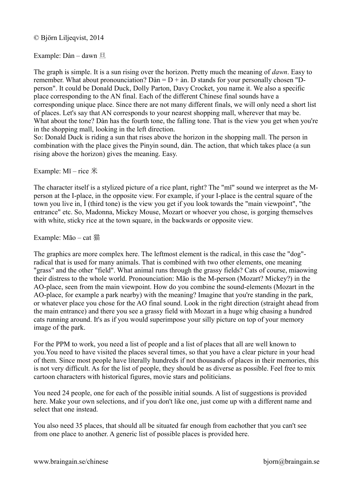Example: Dàn – dawn 旦

The graph is simple. It is a sun rising over the horizon. Pretty much the meaning of *dawn*. Easy to remember. What about pronounciation? Dàn =  $D + \text{an}$ . D stands for your personally chosen "Dperson". It could be Donald Duck, Dolly Parton, Davy Crocket, you name it. We also a specific place corresponding to the AN final. Each of the different Chinese final sounds have a corresponding unique place. Since there are not many different finals, we will only need a short list of places. Let's say that AN corresponds to your nearest shopping mall, wherever that may be. What about the tone? Dàn has the fourth tone, the falling tone. That is the view you get when you're in the shopping mall, looking in the left direction.

So: Donald Duck is riding a sun that rises above the horizon in the shopping mall. The person in combination with the place gives the Pinyin sound, dàn. The action, that which takes place (a sun rising above the horizon) gives the meaning. Easy.

Example:  $M\check{\imath}$  – rice  $\mathcal H$ 

The character itself is a stylized picture of a rice plant, right? The "mĭ" sound we interpret as the Mperson at the I-place, in the opposite view. For example, if your I-place is the central square of the town you live in, Ĭ (third tone) is the view you get if you look towards the "main viewpoint", "the entrance" etc. So, Madonna, Mickey Mouse, Mozart or whoever you chose, is gorging themselves with white, sticky rice at the town square, in the backwards or opposite view.

Example: Māo – cat 猫

The graphics are more complex here. The leftmost element is the radical, in this case the "dog" radical that is used for many animals. That is combined with two other elements, one meaning "grass" and the other "field". What animal runs through the grassy fields? Cats of course, miaowing their distress to the whole world. Pronounciation: Māo is the M-person (Mozart? Mickey?) in the AO-place, seen from the main viewpoint. How do you combine the sound-elements (Mozart in the AO-place, for example a park nearby) with the meaning? Imagine that you're standing in the park, or whatever place you chose for the AO final sound. Look in the right direction (straight ahead from the main entrance) and there you see a grassy field with Mozart in a huge whig chasing a hundred cats running around. It's as if you would superimpose your silly picture on top of your memory image of the park.

For the PPM to work, you need a list of people and a list of places that all are well known to you.You need to have visited the places several times, so that you have a clear picture in your head of them. Since most people have literally hundreds if not thousands of places in their memories, this is not very difficult. As for the list of people, they should be as diverse as possible. Feel free to mix cartoon characters with historical figures, movie stars and politicians.

You need 24 people, one for each of the possible initial sounds. A list of suggestions is provided here. Make your own selections, and if you don't like one, just come up with a different name and select that one instead.

You also need 35 places, that should all be situated far enough from eachother that you can't see from one place to another. A generic list of possible places is provided here.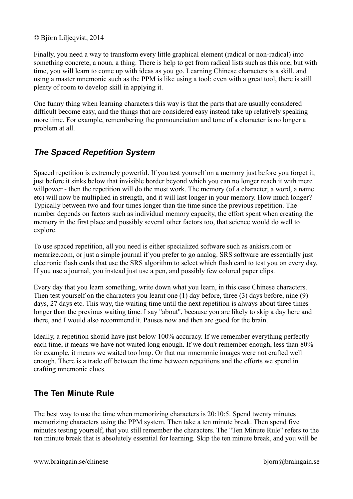Finally, you need a way to transform every little graphical element (radical or non-radical) into something concrete, a noun, a thing. There is help to get from radical lists such as this one, but with time, you will learn to come up with ideas as you go. Learning Chinese characters is a skill, and using a master mnemonic such as the PPM is like using a tool: even with a great tool, there is still plenty of room to develop skill in applying it.

One funny thing when learning characters this way is that the parts that are usually considered difficult become easy, and the things that are considered easy instead take up relatively speaking more time. For example, remembering the pronounciation and tone of a character is no longer a problem at all.

# *The Spaced Repetition System*

Spaced repetition is extremely powerful. If you test yourself on a memory just before you forget it, just before it sinks below that invisible border beyond which you can no longer reach it with mere willpower - then the repetition will do the most work. The memory (of a character, a word, a name etc) will now be multiplied in strength, and it will last longer in your memory. How much longer? Typically between two and four times longer than the time since the previous repetition. The number depends on factors such as individual memory capacity, the effort spent when creating the memory in the first place and possibly several other factors too, that science would do well to explore.

To use spaced repetition, all you need is either specialized software such as ankisrs.com or memrize.com, or just a simple journal if you prefer to go analog. SRS software are essentially just electronic flash cards that use the SRS algorithm to select which flash card to test you on every day. If you use a journal, you instead just use a pen, and possibly few colored paper clips.

Every day that you learn something, write down what you learn, in this case Chinese characters. Then test yourself on the characters you learnt one (1) day before, three (3) days before, nine (9) days, 27 days etc. This way, the waiting time until the next repetition is always about three times longer than the previous waiting time. I say "about", because you are likely to skip a day here and there, and I would also recommend it. Pauses now and then are good for the brain.

Ideally, a repetition should have just below 100% accuracy. If we remember everything perfectly each time, it means we have not waited long enough. If we don't remember enough, less than 80% for example, it means we waited too long. Or that our mnemonic images were not crafted well enough. There is a trade off between the time between repetitions and the efforts we spend in crafting mnemonic clues.

## **The Ten Minute Rule**

The best way to use the time when memorizing characters is 20:10:5. Spend twenty minutes memorizing characters using the PPM system. Then take a ten minute break. Then spend five minutes testing yourself, that you still remember the characters. The "Ten Minute Rule" refers to the ten minute break that is absolutely essential for learning. Skip the ten minute break, and you will be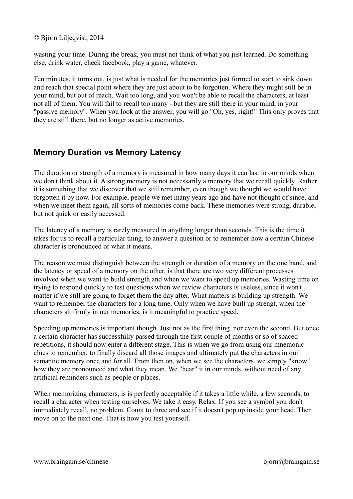wasting your time. During the break, you must not think of what you just learned. Do something else, drink water, check facebook, play a game, whatever.

Ten minutes, it turns out, is just what is needed for the memories just formed to start to sink down and reach that special point where they are just about to be forgotten. Where they might still be in your mind, but out of reach. Wait too long, and you won't be able to recall the characters, at least not all of them. You will fail to recall too many - but they are still there in your mind, in your "passive memory". When you look at the answer, you will go "Oh, yes, right!" This only proves that they are still there, but no longer as active memories.

## **Memory Duration vs Memory Latency**

The duration or strength of a memory is measured in how many days it can last in our minds when we don't think about it. A strong memory is not necessarily a memory that we recall quickly. Rather, it is something that we discover that we still remember, even though we thought we would have forgotten it by now. For example, people we met many years ago and have not thought of since, and when we meet them again, all sorts of memories come back. These memories were strong, durable, but not quick or easily accessed.

The latency of a memory is rarely measured in anything longer than seconds. This is the time it takes for us to recall a particular thing, to answer a question or to remember how a certain Chinese character is pronounced or what it means.

The reason we must distinguish between the strength or duration of a memory on the one hand, and the latency or speed of a memory on the other, is that there are two very different processes involved when we want to build strength and when we want to speed up memories. Wasting time on trying to respond quickly to test questions when we review characters is useless, since it won't matter if we still are going to forget them the day after. What matters is building up strength. We want to remember the characters for a long time. Only when we have built up strengt, when the characters sit firmly in our memories, is it meaningful to practice speed.

Speeding up memories is important though. Just not as the first thing, nor even the second. But once a certain character has successfully passed through the first couple of months or so of spaced repetitions, it should now enter a different stage. This is when we go from using our mnemonic clues to remember, to finally discard all those images and ultimately put the characters in our semantic memory once and for all. From then on, when we see the characters, we simply "know" how they are pronounced and what they mean. We "hear" it in our minds, without need of any artificial reminders such as people or places.

When memorizing characters, is is perfectly acceptable if it takes a little while, a few seconds, to recall a character when testing ourselves. We take it easy. Relax. If you see a symbol you don't immediately recall, no problem. Count to three and see if it doesn't pop up inside your head. Then move on to the next one. That is how you test yourself.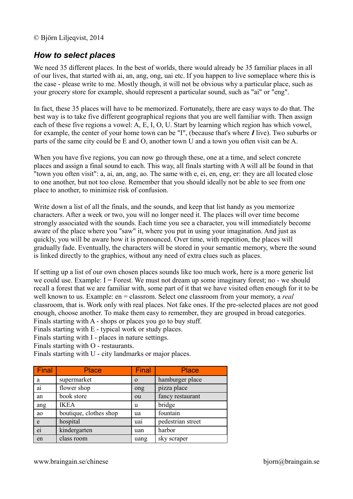### *How to select places*

We need 35 different places. In the best of worlds, there would already be 35 familiar places in all of our lives, that started with ai, an, ang, ong, uai etc. If you happen to live someplace where this is the case - please write to me. Mostly though, it will not be obvious why a particular place, such as your grocery store for example, should represent a particular sound, such as "ai" or "eng".

In fact, these 35 places will have to be memorized. Fortunately, there are easy ways to do that. The best way is to take five different geographical regions that you are well familiar with. Then assign each of these five regions a vowel: A, E, I, O, U. Start by learning which region has which vowel, for example, the center of your home town can be "I", (because that's where *I* live). Two suburbs or parts of the same city could be E and O, another town U and a town you often visit can be A.

When you have five regions, you can now go through these, one at a time, and select concrete places and assign a final sound to each. This way, all finals starting with A will all be found in that "town you often visit": a, ai, an, ang, ao. The same with e, ei, en, eng, er: they are all located close to one another, but not too close. Remember that you should ideally not be able to see from one place to another, to minimize risk of confusion.

Write down a list of all the finals, and the sounds, and keep that list handy as you memorize characters. After a week or two, you will no longer need it. The places will over time become strongly associated with the sounds. Each time you see a character, you will immediately become aware of the place where you "saw" it, where you put in using your imagination. And just as quickly, you will be aware how it is pronounced. Over time, with repetition, the places will gradually fade. Eventually, the characters will be stored in your semantic memory, where the sound is linked directly to the graphics, without any need of extra clues such as places.

If setting up a list of our own chosen places sounds like too much work, here is a more generic list we could use. Example:  $I =$  Forest. We must not dream up some imaginary forest; no - we should recall a forest that we are familiar with, some part of it that we have visited often enough for it to be well known to us. Example: en = classrom. Select one classroom from your memory, a *real*  classroom, that is. Work only with real places. Not fake ones. If the pre-selected places are not good enough, choose another. To make them easy to remember, they are grouped in broad categories. Finals starting with A - shops or places you go to buy stuff.

Finals starting with E - typical work or study places.

Finals starting with I - places in nature settings.

Finals starting with O - restaurants.

Finals starting with U - city landmarks or major places.

| Final | <b>Place</b>           | Final    | <b>Place</b>      |
|-------|------------------------|----------|-------------------|
| a     | supermarket            | $\Omega$ | hamburger place   |
| ai    | flower shop            | ong      | pizza place       |
| an    | book store             | ou       | fancy restaurant  |
| ang   | <b>IKEA</b>            | u        | bridge            |
| ao    | boutique, clothes shop | ua       | fountain          |
| e     | hospital               | uai      | pedestrian street |
| ei    | kindergarten           | uan      | harbor            |
| en    | class room             | uang     | sky scraper       |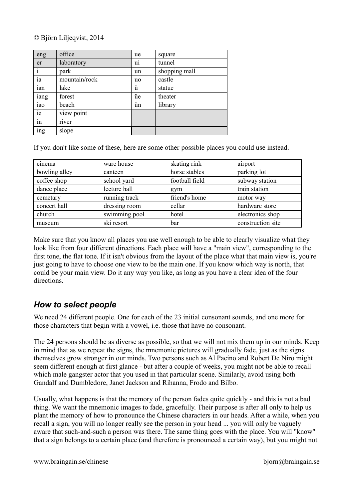| eng              | office        | ue        | square        |
|------------------|---------------|-----------|---------------|
| er               | laboratory    | ui        | tunnel        |
| i                | park          | un        | shopping mall |
| ia               | mountain/rock | <b>uo</b> | castle        |
| ian              | lake          | ü         | statue        |
| iang             | forest        | üe        | theater       |
| iao              | beach         | ün        | library       |
| ie               | view point    |           |               |
| $\frac{1}{\sin}$ | river         |           |               |
| ing              | slope         |           |               |

If you don't like some of these, here are some other possible places you could use instead.

| cinema        | ware house    | skating rink   | airport           |
|---------------|---------------|----------------|-------------------|
| bowling alley | canteen       | horse stables  | parking lot       |
| coffee shop   | school yard   | football field | subway station    |
| dance place   | lecture hall  | gym            | train station     |
| cemetary      | running track | friend's home  | motor way         |
| concert hall  | dressing room | cellar         | hardware store    |
| church        | swimming pool | hotel          | electronics shop  |
| museum        | ski resort    | bar            | construction site |

Make sure that you know all places you use well enough to be able to clearly visualize what they look like from four different directions. Each place will have a "main view", corresponding to the first tone, the flat tone. If it isn't obvious from the layout of the place what that main view is, you're just going to have to choose one view to be the main one. If you know which way is north, that could be your main view. Do it any way you like, as long as you have a clear idea of the four directions.

### *How to select people*

We need 24 different people. One for each of the 23 initial consonant sounds, and one more for those characters that begin with a vowel, i.e. those that have no consonant.

The 24 persons should be as diverse as possible, so that we will not mix them up in our minds. Keep in mind that as we repeat the signs, the mnemonic pictures will gradually fade, just as the signs themselves grow stronger in our minds. Two persons such as Al Pacino and Robert De Niro might seem different enough at first glance - but after a couple of weeks, you might not be able to recall which male gangster actor that you used in that particular scene. Similarly, avoid using both Gandalf and Dumbledore, Janet Jackson and Rihanna, Frodo and Bilbo.

Usually, what happens is that the memory of the person fades quite quickly - and this is not a bad thing. We want the mnemonic images to fade, gracefully. Their purpose is after all only to help us plant the memory of how to pronounce the Chinese characters in our heads. After a while, when you recall a sign, you will no longer really see the person in your head ... you will only be vaguely aware that such-and-such a person was there. The same thing goes with the place. You will "know" that a sign belongs to a certain place (and therefore is pronounced a certain way), but you might not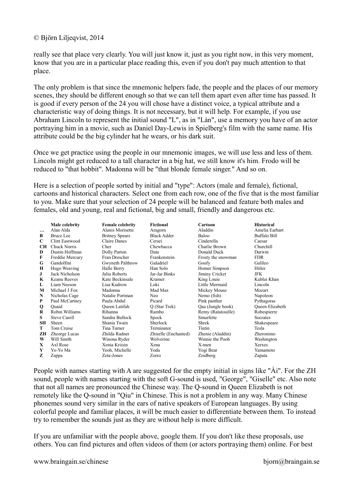really see that place very clearly. You will just know it, just as you right now, in this very moment, know that you are in a particular place reading this, even if you don't pay much attention to that place.

The only problem is that since the mnemonic helpers fade, the people and the places of our memory scenes, they should be different enough so that we can tell them apart even after time has passed. It is good if every person of the 24 you will chose have a distinct voice, a typical attribute and a characteristic way of doing things. It is not necessary, but it will help. For example, if you use Abraham Lincoln to represent the initial sound "L", as in "Làn", use a memory you have of an actor portraying him in a movie, such as Daniel Day-Lewis in Spielberg's film with the same name. His attribute could be the big cylinder hat he wears, or his dark suit.

Once we get practice using the people in our mnemonic images, we will use less and less of them. Lincoln might get reduced to a tall character in a big hat, we still know it's him. Frodo will be reduced to "that hobbit". Madonna will be "that blonde female singer." And so on.

Here is a selection of people sorted by initial and "type": Actors (male and female), fictional, cartoons and historical characters. Select one from each row, one of the five that is the most familiar to you. Make sure that your selection of 24 people will be balanced and feature both males and females, old and young, real and fictional, big and small, friendly and dangerous etc.

|           | Male celebrity      | <b>Female celebrity</b> | <b>Fictional</b>     | Cartoon            | <b>Historical</b>      |
|-----------|---------------------|-------------------------|----------------------|--------------------|------------------------|
| $\cdots$  | Alan Alda           | Alanis Morisette        | Aragorn              | Aladdin            | Amelia Earhart         |
| B         | <b>Bruce Lee</b>    | <b>Britney Spears</b>   | <b>Black Adder</b>   | Baloo              | Buffalo Bill           |
| C         | Clint Eastwood      | Claire Danes            | Cersei               | Cinderella         | Caesar                 |
| <b>CH</b> | <b>Chuck Norris</b> | Cher                    | Chewbacca            | Charlie Brown      | Churchill              |
| D         | Dustin Hoffman      | Dolly Parton            | Data                 | Donald Duck        | Darwin                 |
| F         | Freddie Mercury     | Fran Drescher           | Frankenstein         | Frosty the snowman | <b>FDR</b>             |
| G         | Gandolfini          | Gwyneth Palthrow        | Galadriel            | Goofy              | Galileo                |
| н         | Hugo Weaving        | Halle Berry             | Han Solo             | Homer Simpson      | Hitler                 |
| J         | Jack Nicholson      | Julia Roberts           | Jar-Jar Binks        | Jiminy Cricket     | <b>JFK</b>             |
| K         | Keanu Reeves        | Kate Beckinsale         | Kramer               | King Louie         | Kublai Khan            |
| L         | Liam Neeson         | Lisa Kudrow             | Loki                 | Little Mermaid     | Lincoln                |
| M         | Michael J Fox       | Madonna                 | Mad Max              | Mickey Mouse       | Mozart                 |
| N         | Nicholas Cage       | Natalie Portman         | Neo.                 | Nemo (fish)        | Napoleon               |
| P         | Paul McCartney      | Paula Abdul             | Picard               | Pink panther       | Pythagoras             |
| Q         | Ouaid               | Queen Latifah           | Q (Star Trek)        | Qaa (Jungle book)  | <b>Oueen Elizabeth</b> |
| R         | Robin Williams      | Rihanna                 | Rambo                | Remy (Ratatouille) | Robespierre            |
| S         | <b>Steve Carell</b> | Sandra Bullock          | Spock                | Smurfette          | <b>Socrates</b>        |
| <b>SH</b> | Sheen               | Shania Twain            | Sherlock             | Shrek              | Shakespeare            |
| т         | Tom Cruise          | Tina Turner             | Terminator           | Tintin             | Tesla                  |
| ZН        | Zheorge Lucas       | Zhilda Radner           | Zhiselle (Enchanted) | Zhenie (Aladdin)   | Zheronimo              |
| W         | Will Smith          | Winona Ryder            | Wolverine            | Winnie the Pooh    | Washington             |
| X.        | Axl Rose            | Xenia Kriisin           | Xena                 | X-men              | Xerxes                 |
| Y         | Yo-Yo Ma            | Yeoh, Michelle          | Yoda                 | Yogi Bear          | Yamamoto               |
| Z         | Zappa               | Zeta-Jones              | Zorro                | Zoidberg           | Zapata                 |

People with names starting with A are suggested for the empty initial in signs like "Ài". For the ZH sound, people with names starting with the soft G-sound is used, "George", "Giselle" etc. Also note that not all names are pronounced the Chinese way. The Q-sound in Queen Elizabeth is not remotely like the Q-sound in "Qiu" in Chinese. This is not a problem in any way. Many Chinese phonemes sound very similar in the ears of native speakers of European languages. By using colorful people and familiar places, it will be much easier to differentiate between them. To instead try to remember the sounds just as they are without help is more difficult.

If you are unfamiliar with the people above, google them. If you don't like these proposals, use others. You can find pictures and often videos of them (or actors portraying them) online. For best